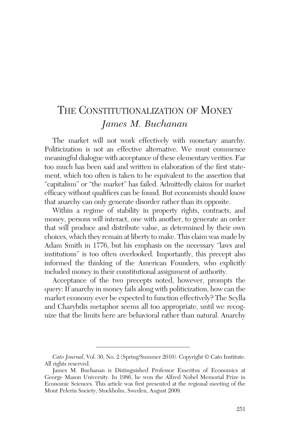# THE CONSTITUTIONALIZATION OF MONEY *James M. Buchanan*

The market will not work effectively with monetary anarchy. Politicization is not an effective alternative. We must commence meaningful dialogue with acceptance of these elementary verities. Far too much has been said and written in elaboration of the first statement, which too often is taken to be equivalent to the assertion that "capitalism" or "the market" has failed. Admittedly claims for market efficacy without qualifiers can be found. But economists should know that anarchy can only generate disorder rather than its opposite.

Within a regime of stability in property rights, contracts, and money, persons will interact, one with another, to generate an order that will produce and distribute value, as determined by their own choices, which they remain at liberty to make. This claim was made by Adam Smith in 1776, but his emphasis on the necessary "laws and institutions" is too often overlooked. Importantly, this precept also informed the thinking of the American Founders, who explicitly included money in their constitutional assignment of authority.

Acceptance of the two precepts noted, however, prompts the query: If anarchy in money fails along with politicization, how can the market economy ever be expected to function effectively? The Scylla and Charybdis metaphor seems all too appropriate, until we recognize that the limits here are behavioral rather than natural. Anarchy

*Cato Journal*, Vol. 30, No. 2 (Spring/Summer 2010). Copyright © Cato Institute. All rights reserved.

James M. Buchanan is Distinguished Professor Emeritus of Economics at George Mason University. In 1986, he won the Alfred Nobel Memorial Prize in Economic Sciences. This article was first presented at the regional meeting of the Mont Pelerin Society, Stockholm, Sweden, August 2009.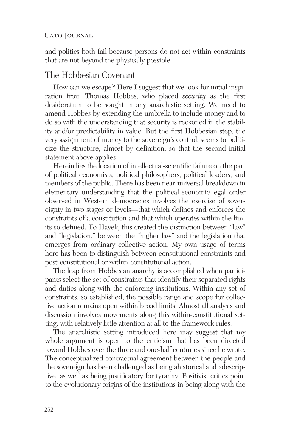and politics both fail because persons do not act within constraints that are not beyond the physically possible.

### The Hobbesian Covenant

How can we escape? Here I suggest that we look for initial inspiration from Thomas Hobbes, who placed *security* as the first desideratum to be sought in any anarchistic setting. We need to amend Hobbes by extending the umbrella to include money and to do so with the understanding that security is reckoned in the stability and/or predictability in value. But the first Hobbesian step, the very assignment of money to the sovereign's control, seems to politicize the structure, almost by definition, so that the second initial statement above applies.

Herein lies the location of intellectual-scientific failure on the part of political economists, political philosophers, political leaders, and members of the public. There has been near-universal breakdown in elementary understanding that the political-economic-legal order observed in Western democracies involves the exercise of sovereignty in two stages or levels—that which defines and enforces the constraints of a constitution and that which operates within the limits so defined. To Hayek, this created the distinction between "law" and "legislation," between the "higher law" and the legislation that emerges from ordinary collective action. My own usage of terms here has been to distinguish between constitutional constraints and post-constitutional or within-constitutional action.

The leap from Hobbesian anarchy is accomplished when participants select the set of constraints that identify their separated rights and duties along with the enforcing institutions. Within any set of constraints, so established, the possible range and scope for collective action remains open within broad limits. Almost all analysis and discussion involves movements along this within-constitutional setting, with relatively little attention at all to the framework rules.

The anarchistic setting introduced here may suggest that my whole argument is open to the criticism that has been directed toward Hobbes over the three and one-half centuries since he wrote. The conceptualized contractual agreement between the people and the sovereign has been challenged as being ahistorical and adescriptive, as well as being justificatory for tyranny. Positivist critics point to the evolutionary origins of the institutions in being along with the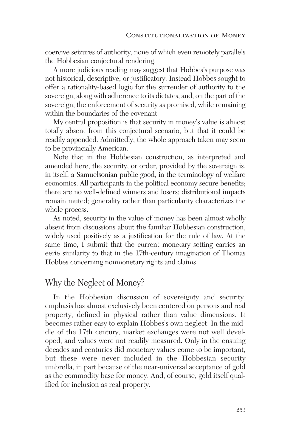coercive seizures of authority, none of which even remotely parallels the Hobbesian conjectural rendering.

A more judicious reading may suggest that Hobbes's purpose was not historical, descriptive, or justificatory. Instead Hobbes sought to offer a rationality-based logic for the surrender of authority to the sovereign, along with adherence to its dictates, and, on the part of the sovereign, the enforcement of security as promised, while remaining within the boundaries of the covenant.

My central proposition is that security in money's value is almost totally absent from this conjectural scenario, but that it could be readily appended. Admittedly, the whole approach taken may seem to be provincially American.

Note that in the Hobbesian construction, as interpreted and amended here, the security, or order, provided by the sovereign is, in itself, a Samuelsonian public good, in the terminology of welfare economics. All participants in the political economy secure benefits; there are no well-defined winners and losers; distributional impacts remain muted; generality rather than particularity characterizes the whole process.

As noted, security in the value of money has been almost wholly absent from discussions about the familiar Hobbesian construction, widely used positively as a justification for the rule of law. At the same time, I submit that the current monetary setting carries an eerie similarity to that in the 17th-century imagination of Thomas Hobbes concerning nonmonetary rights and claims.

### Why the Neglect of Money?

In the Hobbesian discussion of sovereignty and security, emphasis has almost exclusively been centered on persons and real property, defined in physical rather than value dimensions. It becomes rather easy to explain Hobbes's own neglect. In the middle of the 17th century, market exchanges were not well developed, and values were not readily measured. Only in the ensuing decades and centuries did monetary values come to be important, but these were never included in the Hobbesian security umbrella, in part because of the near-universal acceptance of gold as the commodity base for money. And, of course, gold itself qualified for inclusion as real property.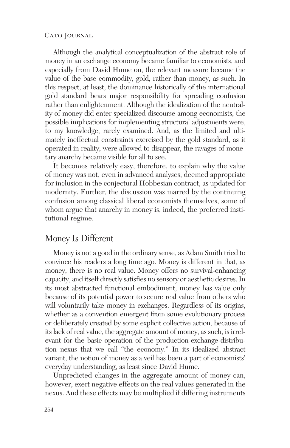Although the analytical conceptualization of the abstract role of money in an exchange economy became familiar to economists, and especially from David Hume on, the relevant measure became the value of the base commodity, gold, rather than money, as such. In this respect, at least, the dominance historically of the international gold standard bears major responsibility for spreading confusion rather than enlightenment. Although the idealization of the neutrality of money did enter specialized discourse among economists, the possible implications for implementing structural adjustments were, to my knowledge, rarely examined. And, as the limited and ultimately ineffectual constraints exercised by the gold standard, as it operated in reality, were allowed to disappear, the ravages of monetary anarchy became visible for all to see.

It becomes relatively easy, therefore, to explain why the value of money was not, even in advanced analyses, deemed appropriate for inclusion in the conjectural Hobbesian contract, as updated for modernity. Further, the discussion was marred by the continuing confusion among classical liberal economists themselves, some of whom argue that anarchy in money is, indeed, the preferred institutional regime.

### Money Is Different

Money is not a good in the ordinary sense, as Adam Smith tried to convince his readers a long time ago. Money is different in that, as money, there is no real value. Money offers no survival-enhancing capacity, and itself directly satisfies no sensory or aesthetic desires. In its most abstracted functional embodiment, money has value only because of its potential power to secure real value from others who will voluntarily take money in exchanges. Regardless of its origins, whether as a convention emergent from some evolutionary process or deliberately created by some explicit collective action, because of its lack of real value, the aggregate amount of money, as such, is irrelevant for the basic operation of the production-exchange-distribution nexus that we call "the economy." In its idealized abstract variant, the notion of money as a veil has been a part of economists' everyday understanding, as least since David Hume.

Unpredicted changes in the aggregate amount of money can, however, exert negative effects on the real values generated in the nexus. And these effects may be multiplied if differing instruments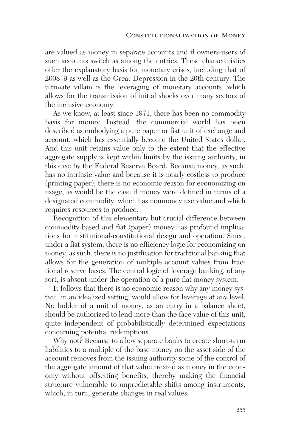are valued as money in separate accounts and if owners-users of such accounts switch as among the entries. These characteristics offer the explanatory basis for monetary crises, including that of 2008–9 as well as the Great Depression in the 20th century. The ultimate villain is the leveraging of monetary accounts, which allows for the transmission of initial shocks over many sectors of the inclusive economy.

As we know, at least since 1971, there has been no commodity basis for money. Instead, the commercial world has been described as embodying a pure paper or fiat unit of exchange and account, which has essentially become the United States dollar. And this unit retains value only to the extent that the effective aggregate supply is kept within limits by the issuing authority, in this case by the Federal Reserve Board. Because money, as such, has no intrinsic value and because it is nearly costless to produce (printing paper), there is no economic reason for economizing on usage, as would be the case if money were defined in terms of a designated commodity, which has nonmoney use value and which requires resources to produce.

Recognition of this elementary but crucial difference between commodity-based and fiat (paper) money has profound implications for institutional-constitutional design and operation. Since, under a fiat system, there is no efficiency logic for economizing on money, as such, there is no justification for traditional banking that allows for the generation of multiple account values from fractional reserve bases. The central logic of leverage banking, of any sort, is absent under the operation of a pure fiat money system.

It follows that there is no economic reason why any money system, in an idealized setting, would allow for leverage at any level. No holder of a unit of money, as an entry in a balance sheet, should be authorized to lend more than the face value of this unit, quite independent of probabilistically determined expectations concerning potential redemptions.

Why not? Because to allow separate banks to create short-term liabilities to a multiple of the base money on the asset side of the account removes from the issuing authority some of the control of the aggregate amount of that value treated as money in the economy without offsetting benefits, thereby making the financial structure vulnerable to unpredictable shifts among instruments, which, in turn, generate changes in real values.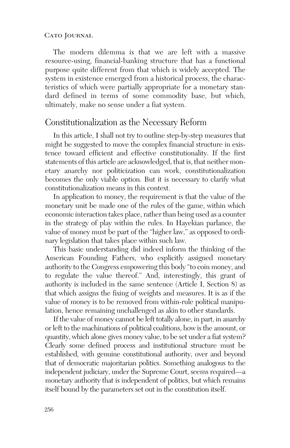The modern dilemma is that we are left with a massive resource-using, financial-banking structure that has a functional purpose quite different from that which is widely accepted. The system in existence emerged from a historical process, the characteristics of which were partially appropriate for a monetary standard defined in terms of some commodity base, but which, ultimately, make no sense under a fiat system.

### Constitutionalization as the Necessary Reform

In this article, I shall not try to outline step-by-step measures that might be suggested to move the complex financial structure in existence toward efficient and effective constitutionality. If the first statements of this article are acknowledged, that is, that neither monetary anarchy nor politicization can work, constitutionalization becomes the only viable option. But it is necessary to clarify what constitutionalization means in this context.

In application to money, the requirement is that the value of the monetary unit be made one of the rules of the game, within which economic interaction takes place, rather than being used as a counter in the strategy of play within the rules. In Hayekian parlance, the value of money must be part of the "higher law," as opposed to ordinary legislation that takes place within such law.

This basic understanding did indeed inform the thinking of the American Founding Fathers, who explicitly assigned monetary authority to the Congress empowering this body "to coin money, and to regulate the value thereof." And, interestingly, this grant of authority is included in the same sentence (Article I, Section 8) as that which assigns the fixing of weights and measures. It is as if the value of money is to be removed from within-rule political manipulation, hence remaining unchallenged as akin to other standards.

If the value of money cannot be left totally alone, in part, in anarchy or left to the machinations of political coalitions, how is the amount, or quantity, which alone gives money value, to be set under a fiat system? Clearly some defined process and institutional structure must be established, with genuine constitutional authority, over and beyond that of democratic majoritarian politics. Something analogous to the independent judiciary, under the Supreme Court, seems required—a monetary authority that is independent of politics, but which remains itself bound by the parameters set out in the constitution itself.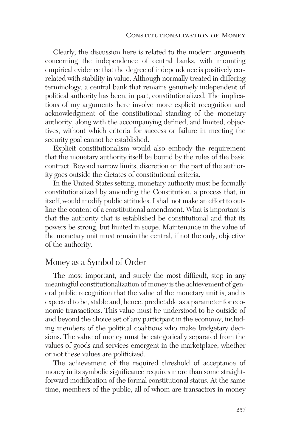Clearly, the discussion here is related to the modern arguments concerning the independence of central banks, with mounting empirical evidence that the degree of independence is positively correlated with stability in value. Although normally treated in differing terminology, a central bank that remains genuinely independent of political authority has been, in part, constitutionalized. The implications of my arguments here involve more explicit recognition and acknowledgment of the constitutional standing of the monetary authority, along with the accompanying defined, and limited, objectives, without which criteria for success or failure in meeting the security goal cannot be established.

Explicit constitutionalism would also embody the requirement that the monetary authority itself be bound by the rules of the basic contract. Beyond narrow limits, discretion on the part of the authority goes outside the dictates of constitutional criteria.

In the United States setting, monetary authority must be formally constitutionalized by amending the Constitution, a process that, in itself, would modify public attitudes. I shall not make an effort to outline the content of a constitutional amendment. What is important is that the authority that is established be constitutional and that its powers be strong, but limited in scope. Maintenance in the value of the monetary unit must remain the central, if not the only, objective of the authority.

## Money as a Symbol of Order

The most important, and surely the most difficult, step in any meaningful constitutionalization of money is the achievement of general public recognition that the value of the monetary unit is, and is expected to be, stable and, hence. predictable as a parameter for economic transactions. This value must be understood to be outside of and beyond the choice set of any participant in the economy, including members of the political coalitions who make budgetary decisions. The value of money must be categorically separated from the values of goods and services emergent in the marketplace, whether or not these values are politicized.

The achievement of the required threshold of acceptance of money in its symbolic significance requires more than some straightforward modification of the formal constitutional status. At the same time, members of the public, all of whom are transactors in money